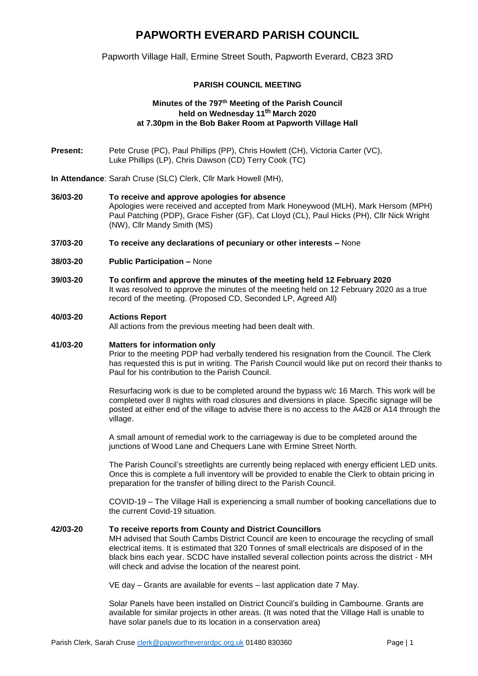# **PAPWORTH EVERARD PARISH COUNCIL**

Papworth Village Hall, Ermine Street South, Papworth Everard, CB23 3RD

# **PARISH COUNCIL MEETING**

# **Minutes of the 797 th Meeting of the Parish Council held on Wednesday 11th March 2020 at 7.30pm in the Bob Baker Room at Papworth Village Hall**

- **Present:** Pete Cruse (PC), Paul Phillips (PP), Chris Howlett (CH), Victoria Carter (VC), Luke Phillips (LP), Chris Dawson (CD) Terry Cook (TC)
- **In Attendance**: Sarah Cruse (SLC) Clerk, Cllr Mark Howell (MH),
- **36/03-20 To receive and approve apologies for absence**  Apologies were received and accepted from Mark Honeywood (MLH), Mark Hersom (MPH) Paul Patching (PDP), Grace Fisher (GF), Cat Lloyd (CL), Paul Hicks (PH), Cllr Nick Wright (NW), Cllr Mandy Smith (MS)
- **37/03-20 To receive any declarations of pecuniary or other interests –** None
- **38/03-20 Public Participation –** None
- **39/03-20 To confirm and approve the minutes of the meeting held 12 February 2020** It was resolved to approve the minutes of the meeting held on 12 February 2020 as a true record of the meeting. (Proposed CD, Seconded LP, Agreed All)

## **40/03-20 Actions Report**

All actions from the previous meeting had been dealt with.

#### **41/03-20 Matters for information only**

Prior to the meeting PDP had verbally tendered his resignation from the Council. The Clerk has requested this is put in writing. The Parish Council would like put on record their thanks to Paul for his contribution to the Parish Council.

Resurfacing work is due to be completed around the bypass w/c 16 March. This work will be completed over 8 nights with road closures and diversions in place. Specific signage will be posted at either end of the village to advise there is no access to the A428 or A14 through the village.

A small amount of remedial work to the carriageway is due to be completed around the junctions of Wood Lane and Chequers Lane with Ermine Street North.

The Parish Council's streetlights are currently being replaced with energy efficient LED units. Once this is complete a full inventory will be provided to enable the Clerk to obtain pricing in preparation for the transfer of billing direct to the Parish Council.

COVID-19 – The Village Hall is experiencing a small number of booking cancellations due to the current Covid-19 situation.

#### **42/03-20 To receive reports from County and District Councillors**

MH advised that South Cambs District Council are keen to encourage the recycling of small electrical items. It is estimated that 320 Tonnes of small electricals are disposed of in the black bins each year. SCDC have installed several collection points across the district - MH will check and advise the location of the nearest point.

VE day – Grants are available for events – last application date 7 May.

Solar Panels have been installed on District Council's building in Cambourne. Grants are available for similar projects in other areas. (It was noted that the Village Hall is unable to have solar panels due to its location in a conservation area)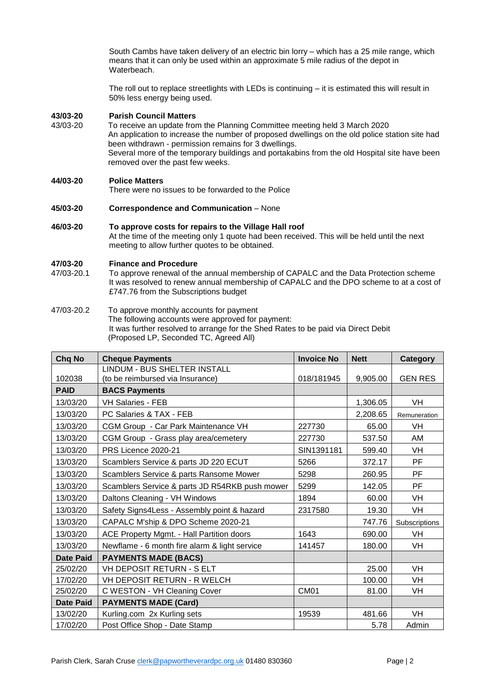South Cambs have taken delivery of an electric bin lorry – which has a 25 mile range, which means that it can only be used within an approximate 5 mile radius of the depot in Waterbeach.

The roll out to replace streetlights with LEDs is continuing – it is estimated this will result in 50% less energy being used.

#### **43/03-20 Parish Council Matters**

43/03-20 To receive an update from the Planning Committee meeting held 3 March 2020 An application to increase the number of proposed dwellings on the old police station site had been withdrawn - permission remains for 3 dwellings. Several more of the temporary buildings and portakabins from the old Hospital site have been removed over the past few weeks.

## **44/03-20 Police Matters**

There were no issues to be forwarded to the Police

- **45/03-20 Correspondence and Communication**  None
- **46/03-20 To approve costs for repairs to the Village Hall roof**  At the time of the meeting only 1 quote had been received. This will be held until the next meeting to allow further quotes to be obtained.

## **47/03-20 Finance and Procedure**

- 47/03-20.1 To approve renewal of the annual membership of CAPALC and the Data Protection scheme It was resolved to renew annual membership of CAPALC and the DPO scheme to at a cost of £747.76 from the Subscriptions budget
- 47/03-20.2 To approve monthly accounts for payment The following accounts were approved for payment: It was further resolved to arrange for the Shed Rates to be paid via Direct Debit (Proposed LP, Seconded TC, Agreed All)

| Chq No           | <b>Cheque Payments</b>                         | <b>Invoice No</b> | <b>Nett</b> | Category       |
|------------------|------------------------------------------------|-------------------|-------------|----------------|
|                  | LINDUM - BUS SHELTER INSTALL                   |                   |             |                |
| 102038           | (to be reimbursed via Insurance)               | 018/181945        | 9,905.00    | <b>GEN RES</b> |
| <b>PAID</b>      | <b>BACS Payments</b>                           |                   |             |                |
| 13/03/20         | <b>VH Salaries - FEB</b>                       |                   | 1,306.05    | VH             |
| 13/03/20         | PC Salaries & TAX - FEB                        |                   | 2,208.65    | Remuneration   |
| 13/03/20         | CGM Group - Car Park Maintenance VH            | 227730            | 65.00       | VH             |
| 13/03/20         | CGM Group - Grass play area/cemetery           | 227730            | 537.50      | AM             |
| 13/03/20         | PRS Licence 2020-21                            | SIN1391181        | 599.40      | <b>VH</b>      |
| 13/03/20         | Scamblers Service & parts JD 220 ECUT          | 5266              | 372.17      | PF             |
| 13/03/20         | Scamblers Service & parts Ransome Mower        | 5298              | 260.95      | PF             |
| 13/03/20         | Scamblers Service & parts JD R54RKB push mower | 5299              | 142.05      | PF             |
| 13/03/20         | Daltons Cleaning - VH Windows                  | 1894              | 60.00       | <b>VH</b>      |
| 13/03/20         | Safety Signs4Less - Assembly point & hazard    | 2317580           | 19.30       | <b>VH</b>      |
| 13/03/20         | CAPALC M'ship & DPO Scheme 2020-21             |                   | 747.76      | Subscriptions  |
| 13/03/20         | ACE Property Mgmt. - Hall Partition doors      | 1643              | 690.00      | <b>VH</b>      |
| 13/03/20         | Newflame - 6 month fire alarm & light service  | 141457            | 180.00      | VH             |
| <b>Date Paid</b> | <b>PAYMENTS MADE (BACS)</b>                    |                   |             |                |
| 25/02/20         | VH DEPOSIT RETURN - S ELT                      |                   | 25.00       | <b>VH</b>      |
| 17/02/20         | VH DEPOSIT RETURN - R WELCH                    |                   | 100.00      | <b>VH</b>      |
| 25/02/20         | C WESTON - VH Cleaning Cover                   | CM <sub>01</sub>  | 81.00       | VH             |
| <b>Date Paid</b> | <b>PAYMENTS MADE (Card)</b>                    |                   |             |                |
| 13/02/20         | Kurling.com 2x Kurling sets                    | 19539             | 481.66      | <b>VH</b>      |
| 17/02/20         | Post Office Shop - Date Stamp                  |                   | 5.78        | Admin          |